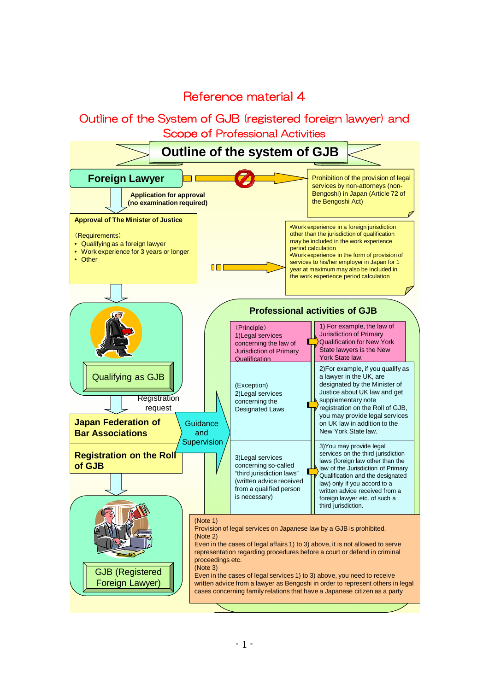# Reference material 4

Outline of the System of GJB (registered foreign lawyer) and Scope of Professional Activities

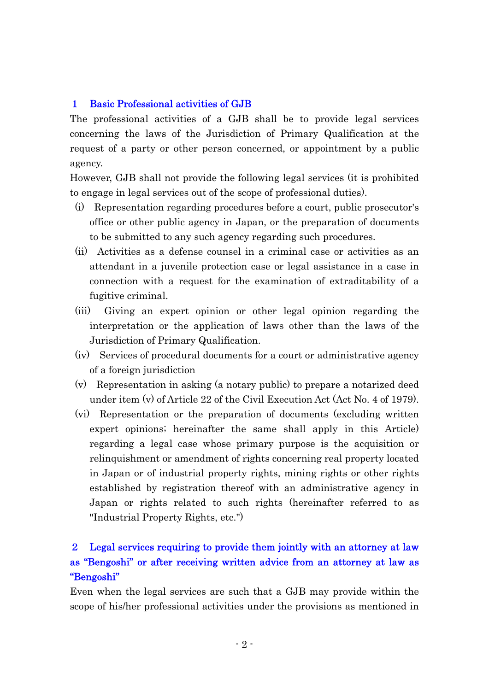### 1 Basic Professional activities of GJB

The professional activities of a GJB shall be to provide legal services concerning the laws of the Jurisdiction of Primary Qualification at the request of a party or other person concerned, or appointment by a public agency.

However, GJB shall not provide the following legal services (it is prohibited to engage in legal services out of the scope of professional duties).

- (i) Representation regarding procedures before a court, public prosecutor's office or other public agency in Japan, or the preparation of documents to be submitted to any such agency regarding such procedures.
- (ii) Activities as a defense counsel in a criminal case or activities as an attendant in a juvenile protection case or legal assistance in a case in connection with a request for the examination of extraditability of a fugitive criminal.
- (iii) Giving an expert opinion or other legal opinion regarding the interpretation or the application of laws other than the laws of the Jurisdiction of Primary Qualification.
- (iv) Services of procedural documents for a court or administrative agency of a foreign jurisdiction
- (v) Representation in asking (a notary public) to prepare a notarized deed under item (v) of Article 22 of the Civil Execution Act (Act No. 4 of 1979).
- (vi) Representation or the preparation of documents (excluding written expert opinions; hereinafter the same shall apply in this Article) regarding a legal case whose primary purpose is the acquisition or relinquishment or amendment of rights concerning real property located in Japan or of industrial property rights, mining rights or other rights established by registration thereof with an administrative agency in Japan or rights related to such rights (hereinafter referred to as "Industrial Property Rights, etc.")

# 2 Legal services requiring to provide them jointly with an attorney at law as "Bengoshi" or after receiving written advice from an attorney at law as "Bengoshi"

Even when the legal services are such that a GJB may provide within the scope of his/her professional activities under the provisions as mentioned in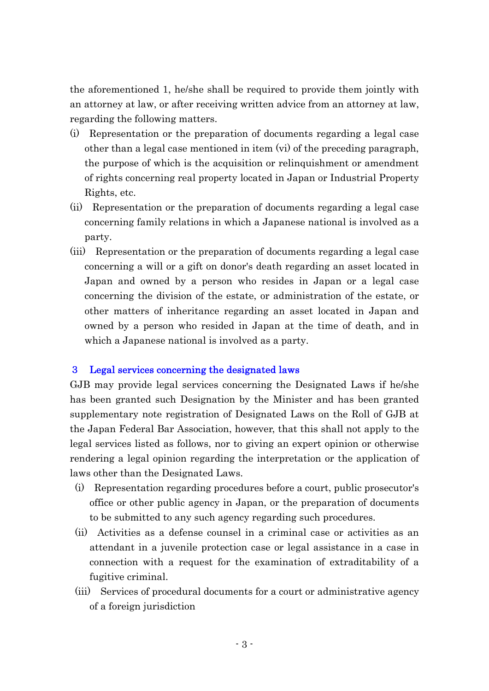the aforementioned 1, he/she shall be required to provide them jointly with an attorney at law, or after receiving written advice from an attorney at law, regarding the following matters.

- (i) Representation or the preparation of documents regarding a legal case other than a legal case mentioned in item (vi) of the preceding paragraph, the purpose of which is the acquisition or relinquishment or amendment of rights concerning real property located in Japan or Industrial Property Rights, etc.
- (ii) Representation or the preparation of documents regarding a legal case concerning family relations in which a Japanese national is involved as a party.
- (iii) Representation or the preparation of documents regarding a legal case concerning a will or a gift on donor's death regarding an asset located in Japan and owned by a person who resides in Japan or a legal case concerning the division of the estate, or administration of the estate, or other matters of inheritance regarding an asset located in Japan and owned by a person who resided in Japan at the time of death, and in which a Japanese national is involved as a party.

## 3 Legal services concerning the designated laws

GJB may provide legal services concerning the Designated Laws if he/she has been granted such Designation by the Minister and has been granted supplementary note registration of Designated Laws on the Roll of GJB at the Japan Federal Bar Association, however, that this shall not apply to the legal services listed as follows, nor to giving an expert opinion or otherwise rendering a legal opinion regarding the interpretation or the application of laws other than the Designated Laws.

- (i) Representation regarding procedures before a court, public prosecutor's office or other public agency in Japan, or the preparation of documents to be submitted to any such agency regarding such procedures.
- (ii) Activities as a defense counsel in a criminal case or activities as an attendant in a juvenile protection case or legal assistance in a case in connection with a request for the examination of extraditability of a fugitive criminal.
- (iii) Services of procedural documents for a court or administrative agency of a foreign jurisdiction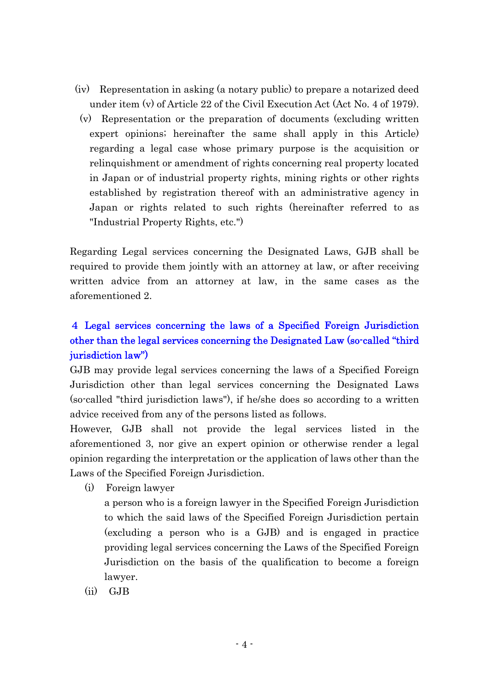- (iv) Representation in asking (a notary public) to prepare a notarized deed under item (v) of Article 22 of the Civil Execution Act (Act No. 4 of 1979).
- (v) Representation or the preparation of documents (excluding written expert opinions; hereinafter the same shall apply in this Article) regarding a legal case whose primary purpose is the acquisition or relinquishment or amendment of rights concerning real property located in Japan or of industrial property rights, mining rights or other rights established by registration thereof with an administrative agency in Japan or rights related to such rights (hereinafter referred to as "Industrial Property Rights, etc.")

Regarding Legal services concerning the Designated Laws, GJB shall be required to provide them jointly with an attorney at law, or after receiving written advice from an attorney at law, in the same cases as the aforementioned 2.

# 4 Legal services concerning the laws of a Specified Foreign Jurisdiction other than the legal services concerning the Designated Law (so-called "third jurisdiction law")

GJB may provide legal services concerning the laws of a Specified Foreign Jurisdiction other than legal services concerning the Designated Laws (so-called "third jurisdiction laws"), if he/she does so according to a written advice received from any of the persons listed as follows.

However, GJB shall not provide the legal services listed in the aforementioned 3, nor give an expert opinion or otherwise render a legal opinion regarding the interpretation or the application of laws other than the Laws of the Specified Foreign Jurisdiction.

(i) Foreign lawyer

a person who is a foreign lawyer in the Specified Foreign Jurisdiction to which the said laws of the Specified Foreign Jurisdiction pertain (excluding a person who is a GJB) and is engaged in practice providing legal services concerning the Laws of the Specified Foreign Jurisdiction on the basis of the qualification to become a foreign lawyer.

(ii) GJB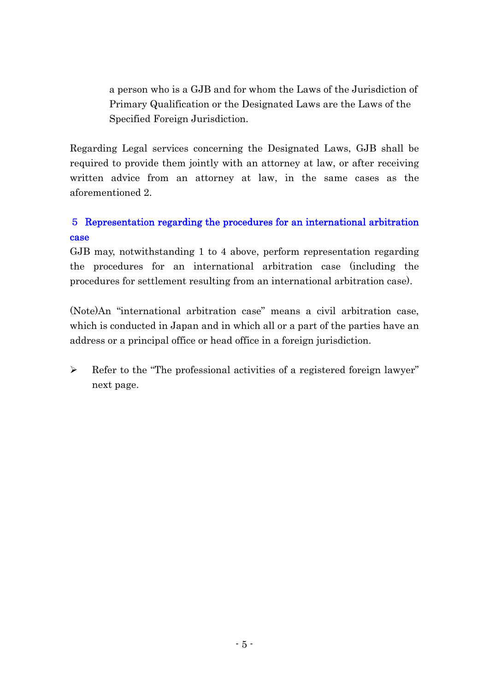a person who is a GJB and for whom the Laws of the Jurisdiction of Primary Qualification or the Designated Laws are the Laws of the Specified Foreign Jurisdiction.

Regarding Legal services concerning the Designated Laws, GJB shall be required to provide them jointly with an attorney at law, or after receiving written advice from an attorney at law, in the same cases as the aforementioned 2.

# 5 Representation regarding the procedures for an international arbitration case

GJB may, notwithstanding 1 to 4 above, perform representation regarding the procedures for an international arbitration case (including the procedures for settlement resulting from an international arbitration case).

(Note)An "international arbitration case" means a civil arbitration case, which is conducted in Japan and in which all or a part of the parties have an address or a principal office or head office in a foreign jurisdiction.

 Refer to the "The professional activities of a registered foreign lawyer" next page.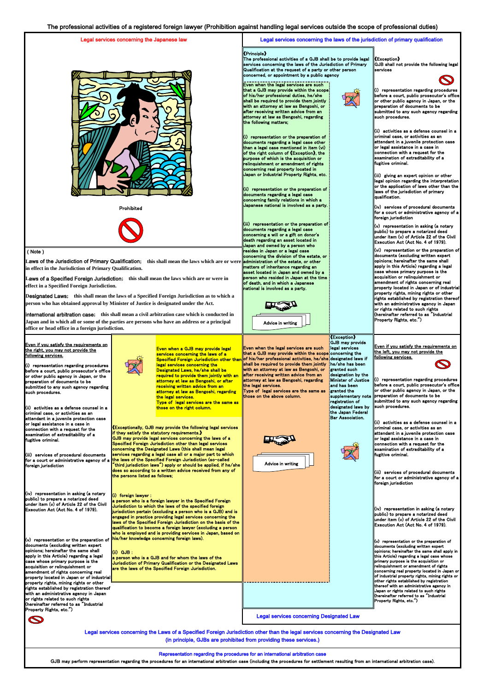Prohibited



Even when the legal services are such  $I$ that a GJB may provide within the scope  $\log$  his/her professional duties, he/she shall be required to provide them jointly with an attorney at law as Bengoshi, or  $\parallel$ after receiving written advice from an attorney at law as Bengoshi, regarding the following matters;

### (Note)

 $\|$ (ii) representation or the preparation of documents regarding a legal case concerning family relations in which a Japanese national is involved as a party.

The professional activities of a GJB shall be to provide legal  $\parallel$ services concerning the laws of the Jurisdiction of Primary Qualification at the request of a party or other person concerned, or appointment by a public agency

## 《Exception》

GJB shall not provide the following legal services



### 《Principle》

 $\left\| \left( i\right) \right\|$  representation regarding procedures before a court, public prosecutor's office  $\parallel$ or other public agency in Japan, or the preparation of documents to be submitted to any such agency regarding such procedures.

Laws of the Jurisdiction of Primary Qualification; this shall mean the laws which are or were∥<mark>administration of the estate, or other</mark> **in effect in the Jurisdiction of Primary Qualification.**

(ii) activities as a defense counsel in a criminal case, or activities as an attendant in a juvenile protection case  $\,$  or legal assistance in a case in  $|$  connection with a request for the  $\,$  examination of extraditability of a fugitive criminal.

 $\left| \right|$ (iii) giving an expert opinion or other legal opinion regarding the interpretation  $\parallel$ or the application of laws other than the laws of the jurisdiction of primary  $\,$ lqualification.

 $\left\| \right\|$  representation or the preparation of documents regarding a legal case other  $\parallel$ than a legal case mentioned in item (vi) of the right column of 《Exception》, the purpose of which is the acquisition or relinquishment or amendment of rights concerning real property located in Japan or Industrial Property Rights, etc.

> $\|$ (i) representation regarding procedures before a court, public prosecutor's office

(iii) representation or the preparation of documents regarding a legal case concerning a will or a gift on donor's death regarding an asset located in Japan and owned by a person who resides in Japan or a legal case concerning the division of the estate, or matters of inheritance regarding an asset located in Japan and owned by a person who resided in Japan at the time of death, and in which a Japanese national is involved as a party.

 $\left\Vert \left( \mathsf{vi}\right) \right\Vert$  representation or the preparation of documents (excluding written expert  $\,$  opinions; hereinafter the same shall apply in this Article) regarding a legal case whose primary purpose is the acquisition or relinquishment or amendment of rights concerning real property located in Japan or of industrial property rights, mining rights or other rights established by registration thereof with an administrative agency in Japan or rights related to such rights  $\,$  (hereinafter referred to as  $\,$  Industrial Property Rights, etc.")

Even if you satisfy the requirements on the left, you may not provide the <u>following services.</u>



granted such designation by the Minister of Justice

# Legal services concerning the Japanese law Legal services concerning the laws of the jurisdiction of primary qualification

 $\|$ (iv) services of procedural documents  $\parallel$ for a court or administrative agency of a foreign jurisdiction



 $\|$ (v) representation in asking (a notary  $\mathsf{I} \mathsf{public}$ ) to prepare a notarized deed under item (v) of Article 22 of the Civil Execution Act (Act No. 4 of 1979).

《Exception》 GJB may provide legal services

| submitted to any such agency regarding<br>such procedures.<br>(ii) activities as a defense counsel in a<br>criminal case, or activities as an<br>attendant in a juvenile protection case<br>or legal assistance in a case in<br>connection with a request for the<br>examination of extraditability of a<br>fugitive criminal.<br>(iii) services of procedural documents<br>foreign jurisdiction<br>(iv) representation in asking (a notary<br>public) to prepare a notarized deed<br>under item (v) of Article 22 of the Civil<br>Execution Act (Act No. 4 of 1979). | receiving written advice from an<br>attorney at law as Bengoshi, regarding<br>the legal services.<br>Type of legal services are the same as<br>those on the right column.<br>$\left\  \right\ $ Exceptionally, GJB may provide the following legal services<br><b>lif they satisfy the statutory requirements.</b><br><b>GJB</b> may provide legal services concerning the laws of a<br>Specified Foreign Jurisdiction other than legal services<br>concerning the Designated Laws (this shall mean legal<br>services regarding a legal case all or a major part to which<br>for a court or administrative agency of a the laws of the Specified Foreign Jurisdiction (so-called<br>$^{\prime}$ third jurisdiction laws $^{\prime\prime})$ apply or should be applied, if he/she $^{\prime}$<br>does so according to a written advice received from any of<br>the persons listed as follows;<br>$\left\  \right\ $ foreign lawyer :<br>$\ $ a person who is a foreign lawyer in the Specified Foreign<br>Uurisdiction to which the laws of the specified foreign<br>  jurisdiction pertain (excluding a person who is a GJB) and is<br>engaged in practice providing legal services concerning the<br>llaws of the Specified Foreign Jurisdiction on the basis of the | the legal services.<br>Type of legal services are the same as<br>those on the above column.<br>Advice in writing | and has been<br>granted the<br>supplementary note<br>registration of<br>designated laws by<br>the Japan Federal<br><b>Bar Association.</b> | before a court, public prosecutor's office<br>or other public agency in Japan, or the<br>preparation of documents to be<br>submitted to any such agency regarding<br>such procedures.<br>$\left\  \right\ $ ii) activities as a defense counsel in a<br>criminal case, or activities as an<br>attendant in a juvenile protection case<br>or legal assistance in a case in<br>$\,$ connection with a request for the<br>$\parallel$ examination of extraditability of a<br>fugitive criminal.<br>(iii) services of procedural documents<br>for a court or administrative agency of a<br>  foreign jurisdiction<br>$\left\vert \left( \mathsf{iv}\right) \right\vert$ representation in asking (a notary<br>public) to prepare a notarized deed<br>$\parallel$ under item (v) of Article 22 of the Civil<br>Execution Act (Act No. 4 of 1979). |
|-----------------------------------------------------------------------------------------------------------------------------------------------------------------------------------------------------------------------------------------------------------------------------------------------------------------------------------------------------------------------------------------------------------------------------------------------------------------------------------------------------------------------------------------------------------------------|-----------------------------------------------------------------------------------------------------------------------------------------------------------------------------------------------------------------------------------------------------------------------------------------------------------------------------------------------------------------------------------------------------------------------------------------------------------------------------------------------------------------------------------------------------------------------------------------------------------------------------------------------------------------------------------------------------------------------------------------------------------------------------------------------------------------------------------------------------------------------------------------------------------------------------------------------------------------------------------------------------------------------------------------------------------------------------------------------------------------------------------------------------------------------------------------------------------------------------------------------------------------------|------------------------------------------------------------------------------------------------------------------|--------------------------------------------------------------------------------------------------------------------------------------------|----------------------------------------------------------------------------------------------------------------------------------------------------------------------------------------------------------------------------------------------------------------------------------------------------------------------------------------------------------------------------------------------------------------------------------------------------------------------------------------------------------------------------------------------------------------------------------------------------------------------------------------------------------------------------------------------------------------------------------------------------------------------------------------------------------------------------------------------|
| $(v)$ representation or the preparation of<br>documents (excluding written expert<br>opinions; hereinafter the same shall<br>apply in this Article) regarding a legal<br>case whose primary purpose is the<br>acquisition or relinquishment or<br>amendment of rights concerning real<br>property located in Japan or of industrial<br>property rights, mining rights or other<br>rights established by registration thereof<br>with an administrative agency in Japan                                                                                                | qualification to become a foreign lawyer (excluding a person<br>who is employed and is providing services in Japan, based on<br>his/her knowledge concerning foreign laws).<br>(ii) GJB :<br>a person who is a GJB and for whom the laws of the<br>Jurisdiction of Primary Qualification or the Designated Laws<br>are the laws of the Specified Foreign Jurisdiction.                                                                                                                                                                                                                                                                                                                                                                                                                                                                                                                                                                                                                                                                                                                                                                                                                                                                                                |                                                                                                                  |                                                                                                                                            | $\sqrt{(v)}$ representation or the preparation of<br>documents (excluding written expert<br>lopinions; hereinafter the same shall apply in<br>this Article) regarding a legal case whose<br>primary purpose is the acquisition or<br>relinquishment or amendment of rights<br>concerning real property located in Japan or<br>of industrial property rights, mining rights or<br>other rights established by registration<br>thereof with an administrative agency in<br>Japan or rights related to such rights                                                                                                                                                                                                                                                                                                                              |
| or rights related to such rights<br>(hereinafter referred to as "Industrial<br>Property Rights, etc.")<br>$\bigotimes$                                                                                                                                                                                                                                                                                                                                                                                                                                                |                                                                                                                                                                                                                                                                                                                                                                                                                                                                                                                                                                                                                                                                                                                                                                                                                                                                                                                                                                                                                                                                                                                                                                                                                                                                       | <b>Legal services concerning Designated Law</b>                                                                  |                                                                                                                                            | Khereinafter referred to as "Industrial<br>Property Rights, etc.")                                                                                                                                                                                                                                                                                                                                                                                                                                                                                                                                                                                                                                                                                                                                                                           |

Representation regarding the procedures for an international arbitration case

GJB may perform representation regarding the procedures for an international arbitration case (including the procedures for settlement resulting from an international arbitration case).

(i) representation regarding procedures before a court, public prosecutor's office or other public agency in Japan, or the preparation of documents to be submitted to any such agency regarding



### Even if you satisfy the requirements on the right, you may not provide the following services.

**L**aws of a Specified Foreign Jurisdiction**; this shall mean the laws which are or were in effect in a Specified Foreign Jurisdiction.**

**D**esignated Laws**; this shall mean the laws of a Specified Foreign Jurisdiction as to which a person who has obtained approval by Minister of Justice is designated under the Act.**

> Legal services concerning the Laws of a Specified Foreign Jurisdiction other than the legal services concerning the Designated Law (in principle, GJBs are prohibited from providing these services.)

international arbitration case**; this shall mean a civil arbitration case which is conducted in Japan and in which all or some of the parties are persons who have an address or a principal office or head office in a foreign jurisdiction.**

> Even when a GJB may provide legal services concerning the laws of a legal services concerning the Designated Laws, he/she shall be required to provide them jointly with an attorney at law as Bengoshi, or after receiving written advice from an

that a GJB may provide within the scope concerning the Specified Foreign Jurisdiction other than||of his/her professional activities, he/she||designated laws if he/she has been **Even when the legal services are such** shall be required to provide them jointly with an attorney at law as Bengoshi, or  $\frac{1}{2}$  after receiving written advice from an lattorney at law as Bengoshi, regarding **the legal services**